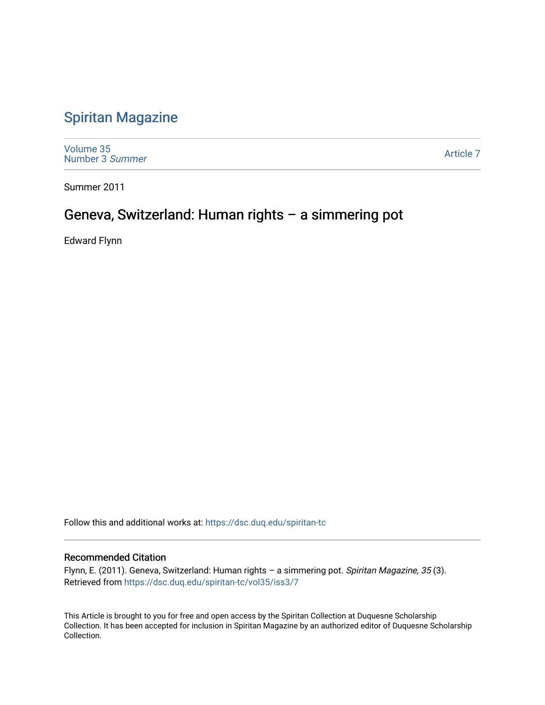## [Spiritan Magazine](https://dsc.duq.edu/spiritan-tc)

[Volume 35](https://dsc.duq.edu/spiritan-tc/vol35) [Number 3](https://dsc.duq.edu/spiritan-tc/vol35/iss3) Summer

[Article 7](https://dsc.duq.edu/spiritan-tc/vol35/iss3/7) 

Summer 2011

## Geneva, Switzerland: Human rights – a simmering pot

Edward Flynn

Follow this and additional works at: [https://dsc.duq.edu/spiritan-tc](https://dsc.duq.edu/spiritan-tc?utm_source=dsc.duq.edu%2Fspiritan-tc%2Fvol35%2Fiss3%2F7&utm_medium=PDF&utm_campaign=PDFCoverPages)

#### Recommended Citation

Flynn, E. (2011). Geneva, Switzerland: Human rights - a simmering pot. Spiritan Magazine, 35(3). Retrieved from [https://dsc.duq.edu/spiritan-tc/vol35/iss3/7](https://dsc.duq.edu/spiritan-tc/vol35/iss3/7?utm_source=dsc.duq.edu%2Fspiritan-tc%2Fvol35%2Fiss3%2F7&utm_medium=PDF&utm_campaign=PDFCoverPages) 

This Article is brought to you for free and open access by the Spiritan Collection at Duquesne Scholarship Collection. It has been accepted for inclusion in Spiritan Magazine by an authorized editor of Duquesne Scholarship Collection.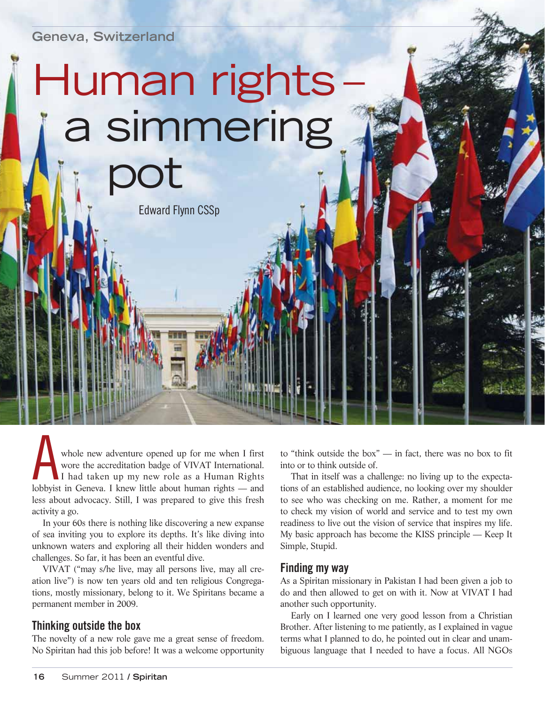**Geneva, Switzerland**

# Human rights a simmering pot

Edward Flynn CSSp

whole new adventure opened up for me when I first<br>wore the accreditation badge of VIVAT International.<br>I had taken up my new role as a Human Rights<br>lobbyist in Geneva. I knew little about human rights — and wore the accreditation badge of VIVAT International. I had taken up my new role as a Human Rights lobbyist in Geneva. I knew little about human rights — and less about advocacy. Still, I was prepared to give this fresh activity a go.

In your 60s there is nothing like discovering a new expanse of sea inviting you to explore its depths. It's like diving into unknown waters and exploring all their hidden wonders and challenges. So far, it has been an eventful dive.

VIVAT ("may s/he live, may all persons live, may all creation live") is now ten years old and ten religious Congregations, mostly missionary, belong to it. We Spiritans became a permanent member in 2009.

#### **Thinking outside the box**

The novelty of a new role gave me a great sense of freedom. No Spiritan had this job before! It was a welcome opportunity

to "think outside the box" — in fact, there was no box to fit into or to think outside of.

That in itself was a challenge: no living up to the expectations of an established audience, no looking over my shoulder to see who was checking on me. Rather, a moment for me to check my vision of world and service and to test my own readiness to live out the vision of service that inspires my life. My basic approach has become the KISS principle — Keep It Simple, Stupid.

#### **Finding my way**

As a Spiritan missionary in Pakistan I had been given a job to do and then allowed to get on with it. Now at VIVAT I had another such opportunity.

Early on I learned one very good lesson from a Christian Brother. After listening to me patiently, as I explained in vague terms what I planned to do, he pointed out in clear and unambiguous language that I needed to have a focus. All NGOs